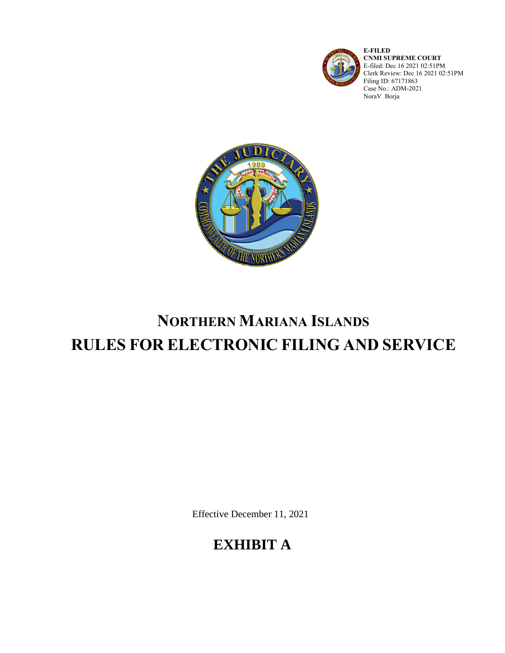

**E-FILED CNMI SUPREME COURT** E-filed: Dec 16 2021 02:51PM Clerk Review: Dec 16 2021 02:51PM Filing ID: 67171863 Case No.: ADM-2021 NoraV Borja



# **NORTHERN MARIANA ISLANDS RULES FOR ELECTRONIC FILING AND SERVICE**

Effective December 11, 2021

## **EXHIBIT A**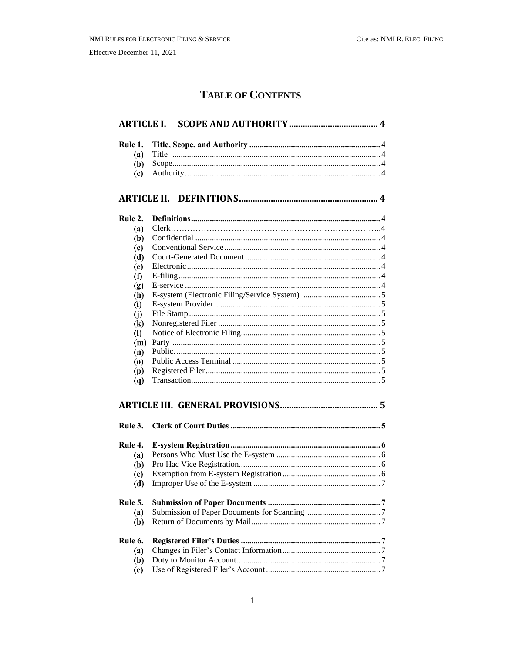### **TABLE OF CONTENTS**

| Rule 1.                                  |  |
|------------------------------------------|--|
| (a)                                      |  |
| (b)                                      |  |
| $\left( \mathbf{c} \right)$              |  |
|                                          |  |
| Rule 2.                                  |  |
| (a)                                      |  |
| (b)                                      |  |
| $\left( \mathrm{c}\right)$               |  |
| (d)                                      |  |
| (e)                                      |  |
| (f)                                      |  |
| (g)                                      |  |
| (h)                                      |  |
| (i)                                      |  |
| (i)                                      |  |
| $\left( \mathbf{k}\right)$               |  |
| $\left( \mathbf{I}\right)$               |  |
| (m)                                      |  |
| (n)                                      |  |
| $\boldsymbol{\left( \mathrm{o} \right)}$ |  |
| (p)                                      |  |
| (q)                                      |  |
|                                          |  |
| Rule 3.                                  |  |
| Rule 4.                                  |  |
| (a)                                      |  |
| (b)                                      |  |
| $\left( \mathrm{c}\right)$               |  |
| (d)                                      |  |
| Rule 5.                                  |  |
| (a)                                      |  |
| (b)                                      |  |
| Rule 6.                                  |  |
| (a)                                      |  |
| (b)                                      |  |
| (c)                                      |  |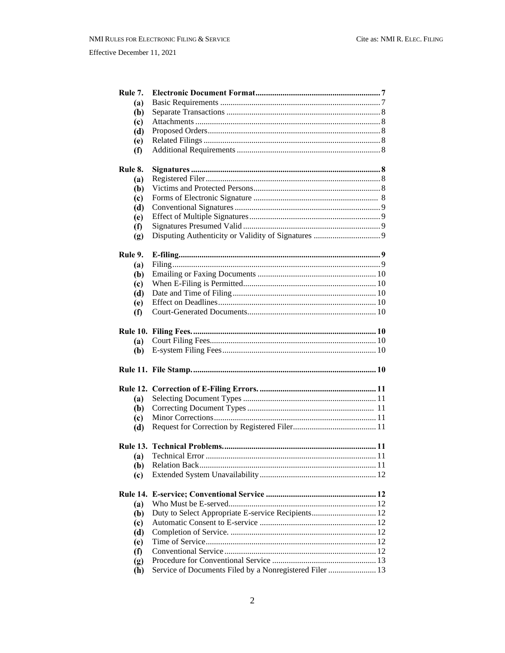| Rule 7.                     |                                                         |  |
|-----------------------------|---------------------------------------------------------|--|
| (a)                         |                                                         |  |
| (b)                         |                                                         |  |
| (c)                         |                                                         |  |
| (d)                         |                                                         |  |
| (e)                         |                                                         |  |
| $\bf(f)$                    |                                                         |  |
|                             |                                                         |  |
| Rule 8.                     |                                                         |  |
| (a)                         |                                                         |  |
| (b)                         |                                                         |  |
| (c)                         |                                                         |  |
| (d)                         |                                                         |  |
| (e)                         |                                                         |  |
| $\bf(f)$                    |                                                         |  |
| (g)                         |                                                         |  |
|                             |                                                         |  |
| Rule 9.                     |                                                         |  |
| (a)                         |                                                         |  |
| (b)                         |                                                         |  |
| (c)                         |                                                         |  |
| (d)                         |                                                         |  |
| (e)                         |                                                         |  |
| $\bf(f)$                    |                                                         |  |
|                             |                                                         |  |
|                             |                                                         |  |
| (a)                         |                                                         |  |
| (b)                         |                                                         |  |
|                             |                                                         |  |
|                             |                                                         |  |
|                             |                                                         |  |
| <b>Rule 12.</b>             |                                                         |  |
| (a)                         |                                                         |  |
| (b)                         |                                                         |  |
| (c)                         |                                                         |  |
| (d)                         |                                                         |  |
|                             |                                                         |  |
|                             |                                                         |  |
|                             |                                                         |  |
| (b)<br>(c)                  |                                                         |  |
|                             |                                                         |  |
| <b>Rule 14.</b>             |                                                         |  |
| (a)                         |                                                         |  |
| (b)                         | Duty to Select Appropriate E-service Recipients 12      |  |
| (c)                         |                                                         |  |
| (d)                         |                                                         |  |
| (e)                         |                                                         |  |
| $\bf(f)$                    |                                                         |  |
| $\left( \mathbf{g} \right)$ |                                                         |  |
| (h)                         | Service of Documents Filed by a Nonregistered Filer  13 |  |
|                             |                                                         |  |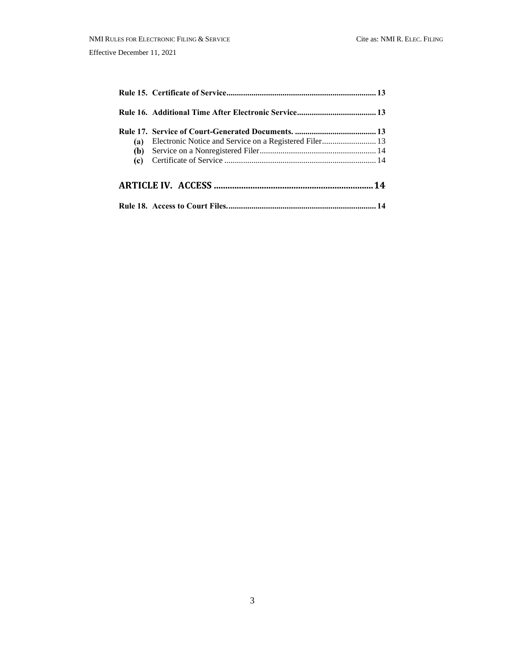| (a) | Electronic Notice and Service on a Registered Filer 13 |  |
|-----|--------------------------------------------------------|--|
|     |                                                        |  |
|     |                                                        |  |
|     |                                                        |  |
|     |                                                        |  |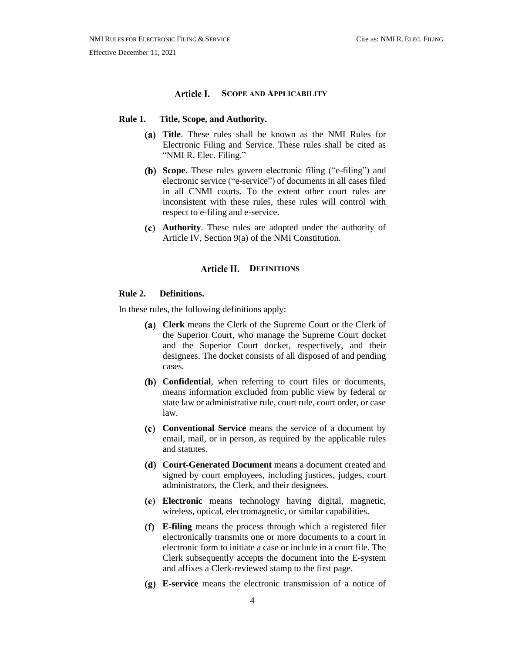#### **SCOPE AND APPLICABILITY**

#### <span id="page-4-2"></span><span id="page-4-1"></span><span id="page-4-0"></span>**Rule 1. Title, Scope, and Authority.**

- **Title**. These rules shall be known as the NMI Rules for Electronic Filing and Service. These rules shall be cited as "NMI R. Elec. Filing."
- <span id="page-4-3"></span>**Scope**. These rules govern electronic filing ("e-filing") and electronic service ("e-service") of documents in all cases filed in all CNMI courts. To the extent other court rules are inconsistent with these rules, these rules will control with respect to e-filing and e-service.
- <span id="page-4-5"></span><span id="page-4-4"></span>**Authority**. These rules are adopted under the authority of Article IV, Section 9(a) of the NMI Constitution.

#### **Article II. DEFINITIONS**

#### <span id="page-4-6"></span>**Rule 2. Definitions.**

<span id="page-4-7"></span>In these rules, the following definitions apply:

- **Clerk** means the Clerk of the Supreme Court or the Clerk of the Superior Court, who manage the Supreme Court docket and the Superior Court docket, respectively, and their designees. The docket consists of all disposed of and pending cases.
- <span id="page-4-8"></span>**Confidential**, when referring to court files or documents, means information excluded from public view by federal or state law or administrative rule, court rule, court order, or case law.
- <span id="page-4-9"></span>**Conventional Service** means the service of a document by email, mail, or in person, as required by the applicable rules and statutes.
- <span id="page-4-10"></span>**Court-Generated Document** means a document created and signed by court employees, including justices, judges, court administrators, the Clerk, and their designees.
- <span id="page-4-11"></span>**Electronic** means technology having digital, magnetic, wireless, optical, electromagnetic, or similar capabilities.
- <span id="page-4-12"></span>**E-filing** means the process through which a registered filer electronically transmits one or more documents to a court in electronic form to initiate a case or include in a court file. The Clerk subsequently accepts the document into the E-system and affixes a Clerk-reviewed stamp to the first page.
- <span id="page-4-13"></span>**E-service** means the electronic transmission of a notice of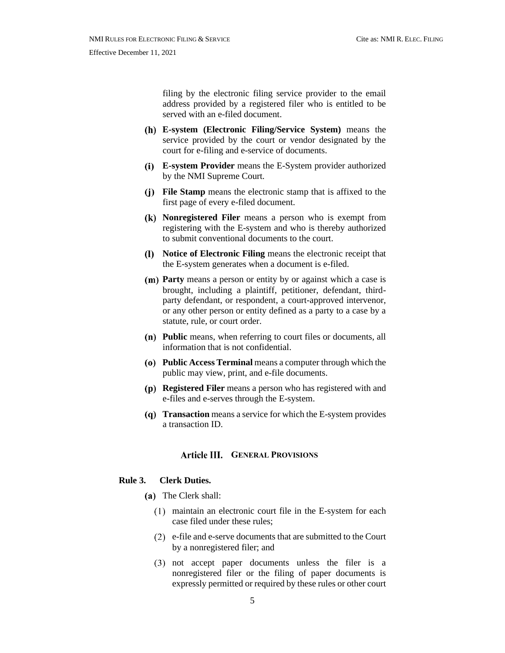filing by the electronic filing service provider to the email address provided by a registered filer who is entitled to be served with an e-filed document.

- <span id="page-5-0"></span>**E-system (Electronic Filing/Service System)** means the service provided by the court or vendor designated by the court for e-filing and e-service of documents.
- <span id="page-5-1"></span>**E-system Provider** means the E-System provider authorized by the NMI Supreme Court.
- <span id="page-5-2"></span>**File Stamp** means the electronic stamp that is affixed to the first page of every e-filed document.
- <span id="page-5-3"></span>**Nonregistered Filer** means a person who is exempt from registering with the E-system and who is thereby authorized to submit conventional documents to the court.
- <span id="page-5-4"></span>**Notice of Electronic Filing** means the electronic receipt that the E-system generates when a document is e-filed.
- <span id="page-5-5"></span>**Party** means a person or entity by or against which a case is brought, including a plaintiff, petitioner, defendant, thirdparty defendant, or respondent, a court-approved intervenor, or any other person or entity defined as a party to a case by a statute, rule, or court order.
- <span id="page-5-6"></span>**Public** means, when referring to court files or documents, all information that is not confidential.
- <span id="page-5-7"></span>**Public Access Terminal** means a computer through which the public may view, print, and e-file documents.
- <span id="page-5-8"></span>**Registered Filer** means a person who has registered with and e-files and e-serves through the E-system.
- <span id="page-5-10"></span><span id="page-5-9"></span>**Transaction** means a service for which the E-system provides a transaction ID.

#### **GENERAL PROVISIONS**

#### <span id="page-5-11"></span>**Rule 3. Clerk Duties.**

- (a) The Clerk shall:
	- maintain an electronic court file in the E-system for each case filed under these rules;
	- e-file and e-serve documents that are submitted to the Court by a nonregistered filer; and
	- not accept paper documents unless the filer is a nonregistered filer or the filing of paper documents is expressly permitted or required by these rules or other court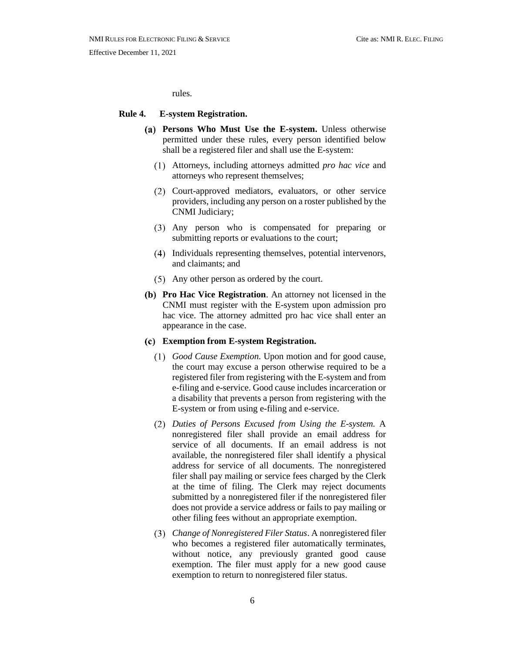rules.

#### <span id="page-6-1"></span><span id="page-6-0"></span>**Rule 4. E-system Registration.**

- **Persons Who Must Use the E-system.** Unless otherwise permitted under these rules, every person identified below shall be a registered filer and shall use the E-system:
	- Attorneys, including attorneys admitted *pro hac vice* and attorneys who represent themselves;
	- Court-approved mediators, evaluators, or other service providers, including any person on a roster published by the CNMI Judiciary;
	- Any person who is compensated for preparing or submitting reports or evaluations to the court;
	- Individuals representing themselves, potential intervenors, and claimants; and
	- Any other person as ordered by the court.
- <span id="page-6-2"></span>**Pro Hac Vice Registration**. An attorney not licensed in the CNMI must register with the E-system upon admission pro hac vice. The attorney admitted pro hac vice shall enter an appearance in the case.
- <span id="page-6-3"></span>**Exemption from E-system Registration.**
	- *Good Cause Exemption.* Upon motion and for good cause, the court may excuse a person otherwise required to be a registered filer from registering with the E-system and from e-filing and e-service. Good cause includes incarceration or a disability that prevents a person from registering with the E-system or from using e-filing and e-service.
	- *Duties of Persons Excused from Using the E-system.* A nonregistered filer shall provide an email address for service of all documents. If an email address is not available, the nonregistered filer shall identify a physical address for service of all documents. The nonregistered filer shall pay mailing or service fees charged by the Clerk at the time of filing. The Clerk may reject documents submitted by a nonregistered filer if the nonregistered filer does not provide a service address or fails to pay mailing or other filing fees without an appropriate exemption.
	- *Change of Nonregistered Filer Status*. A nonregistered filer who becomes a registered filer automatically terminates, without notice, any previously granted good cause exemption. The filer must apply for a new good cause exemption to return to nonregistered filer status.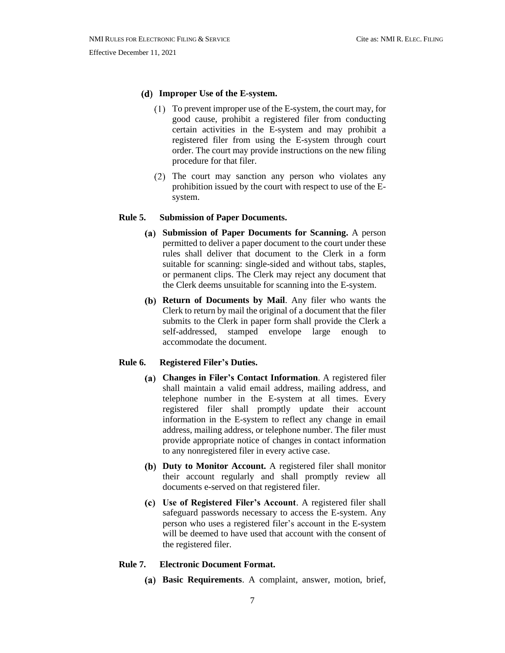#### <span id="page-7-0"></span>**Improper Use of the E-system.**

- To prevent improper use of the E-system, the court may, for good cause, prohibit a registered filer from conducting certain activities in the E-system and may prohibit a registered filer from using the E-system through court order. The court may provide instructions on the new filing procedure for that filer.
- (2) The court may sanction any person who violates any prohibition issued by the court with respect to use of the Esystem.

#### <span id="page-7-2"></span><span id="page-7-1"></span>**Rule 5. Submission of Paper Documents.**

- **Submission of Paper Documents for Scanning.** A person permitted to deliver a paper document to the court under these rules shall deliver that document to the Clerk in a form suitable for scanning: single-sided and without tabs, staples, or permanent clips. The Clerk may reject any document that the Clerk deems unsuitable for scanning into the E-system.
- <span id="page-7-3"></span>**Return of Documents by Mail**. Any filer who wants the Clerk to return by mail the original of a document that the filer submits to the Clerk in paper form shall provide the Clerk a self-addressed, stamped envelope large enough to accommodate the document.

#### <span id="page-7-5"></span><span id="page-7-4"></span>**Rule 6. Registered Filer's Duties.**

- **Changes in Filer's Contact Information**. A registered filer shall maintain a valid email address, mailing address, and telephone number in the E-system at all times. Every registered filer shall promptly update their account information in the E-system to reflect any change in email address, mailing address, or telephone number. The filer must provide appropriate notice of changes in contact information to any nonregistered filer in every active case.
- <span id="page-7-6"></span>**Duty to Monitor Account.** A registered filer shall monitor their account regularly and shall promptly review all documents e-served on that registered filer.
- <span id="page-7-7"></span>**Use of Registered Filer's Account**. A registered filer shall safeguard passwords necessary to access the E-system. Any person who uses a registered filer's account in the E-system will be deemed to have used that account with the consent of the registered filer.

#### <span id="page-7-9"></span><span id="page-7-8"></span>**Rule 7. Electronic Document Format.**

**Basic Requirements**. A complaint, answer, motion, brief,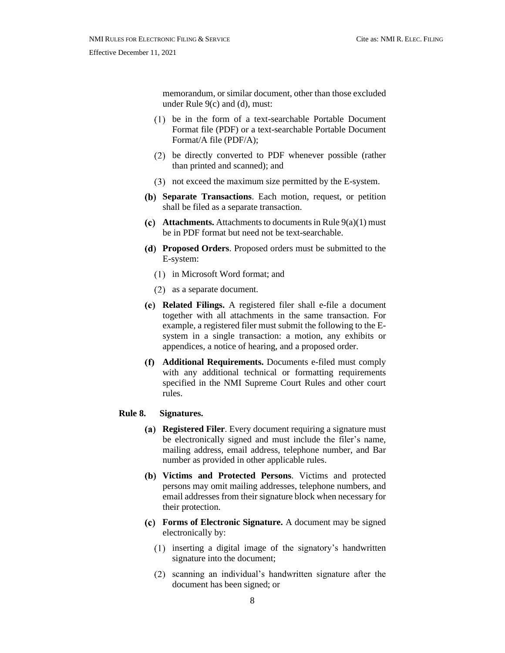Effective December 11, 2021

memorandum, or similar document, other than those excluded under Rule 9(c) and (d), must:

- be in the form of a text-searchable Portable Document Format file (PDF) or a text-searchable Portable Document Format/A file (PDF/A);
- be directly converted to PDF whenever possible (rather than printed and scanned); and
- not exceed the maximum size permitted by the E-system.
- <span id="page-8-0"></span>**Separate Transactions**. Each motion, request, or petition shall be filed as a separate transaction.
- <span id="page-8-1"></span>**(c)** Attachments. Attachments to documents in Rule  $9(a)(1)$  must be in PDF format but need not be text-searchable.
- <span id="page-8-2"></span>**Proposed Orders**. Proposed orders must be submitted to the E-system:
	- $(1)$  in Microsoft Word format; and
	- (2) as a separate document.
- <span id="page-8-3"></span>**Related Filings.** A registered filer shall e-file a document together with all attachments in the same transaction. For example, a registered filer must submit the following to the Esystem in a single transaction: a motion, any exhibits or appendices, a notice of hearing, and a proposed order.
- <span id="page-8-4"></span>**Additional Requirements.** Documents e-filed must comply with any additional technical or formatting requirements specified in the NMI Supreme Court Rules and other court rules.

#### <span id="page-8-6"></span><span id="page-8-5"></span>**Rule 8. Signatures.**

- **(a) Registered Filer.** Every document requiring a signature must be electronically signed and must include the filer's name, mailing address, email address, telephone number, and Bar number as provided in other applicable rules.
- <span id="page-8-7"></span>**Victims and Protected Persons**. Victims and protected persons may omit mailing addresses, telephone numbers, and email addresses from their signature block when necessary for their protection.
- <span id="page-8-8"></span>**Forms of Electronic Signature.** A document may be signed electronically by:
	- inserting a digital image of the signatory's handwritten signature into the document;
	- scanning an individual's handwritten signature after the document has been signed; or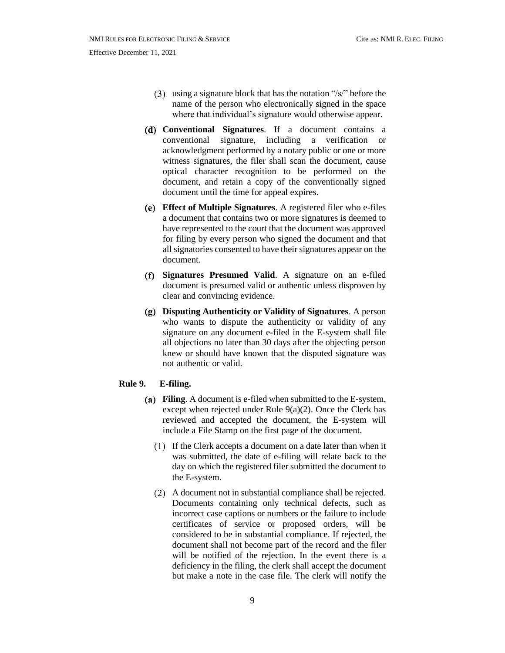- (3) using a signature block that has the notation " $/s$ " before the name of the person who electronically signed in the space where that individual's signature would otherwise appear.
- <span id="page-9-0"></span>**Conventional Signatures**. If a document contains a conventional signature, including a verification or acknowledgment performed by a notary public or one or more witness signatures, the filer shall scan the document, cause optical character recognition to be performed on the document, and retain a copy of the conventionally signed document until the time for appeal expires.
- <span id="page-9-1"></span>**Effect of Multiple Signatures**. A registered filer who e-files a document that contains two or more signatures is deemed to have represented to the court that the document was approved for filing by every person who signed the document and that all signatories consented to have their signatures appear on the document.
- <span id="page-9-2"></span>**Signatures Presumed Valid**. A signature on an e-filed document is presumed valid or authentic unless disproven by clear and convincing evidence.
- <span id="page-9-3"></span>**Disputing Authenticity or Validity of Signatures**. A person who wants to dispute the authenticity or validity of any signature on any document e-filed in the E-system shall file all objections no later than 30 days after the objecting person knew or should have known that the disputed signature was not authentic or valid.

#### <span id="page-9-5"></span><span id="page-9-4"></span>**Rule 9. E-filing.**

- **Filing**. A document is e-filed when submitted to the E-system, except when rejected under Rule  $9(a)(2)$ . Once the Clerk has reviewed and accepted the document, the E-system will include a File Stamp on the first page of the document.
	- If the Clerk accepts a document on a date later than when it was submitted, the date of e-filing will relate back to the day on which the registered filer submitted the document to the E-system.
	- A document not in substantial compliance shall be rejected. Documents containing only technical defects, such as incorrect case captions or numbers or the failure to include certificates of service or proposed orders, will be considered to be in substantial compliance. If rejected, the document shall not become part of the record and the filer will be notified of the rejection. In the event there is a deficiency in the filing, the clerk shall accept the document but make a note in the case file. The clerk will notify the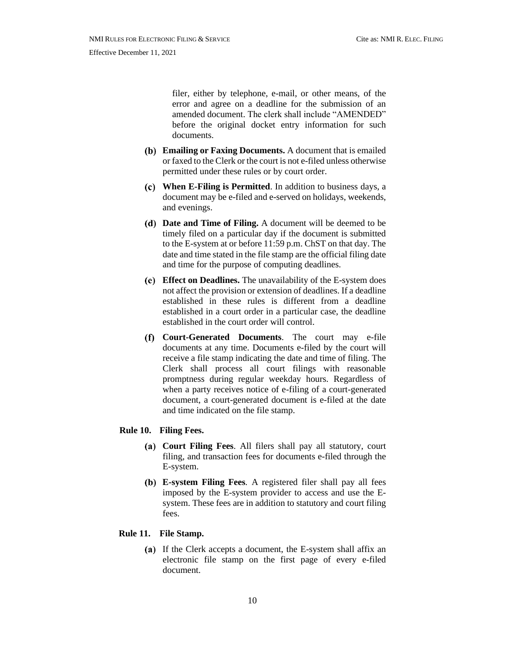filer, either by telephone, e-mail, or other means, of the error and agree on a deadline for the submission of an amended document. The clerk shall include "AMENDED" before the original docket entry information for such documents.

- <span id="page-10-0"></span>**Emailing or Faxing Documents.** A document that is emailed or faxed to the Clerk or the court is not e-filed unless otherwise permitted under these rules or by court order.
- <span id="page-10-1"></span>**When E-Filing is Permitted**. In addition to business days, a document may be e-filed and e-served on holidays, weekends, and evenings.
- <span id="page-10-2"></span>**Date and Time of Filing.** A document will be deemed to be timely filed on a particular day if the document is submitted to the E-system at or before 11:59 p.m. ChST on that day. The date and time stated in the file stamp are the official filing date and time for the purpose of computing deadlines.
- <span id="page-10-3"></span>**Effect on Deadlines.** The unavailability of the E-system does not affect the provision or extension of deadlines. If a deadline established in these rules is different from a deadline established in a court order in a particular case, the deadline established in the court order will control.
- <span id="page-10-4"></span>**Court-Generated Documents**. The court may e-file documents at any time. Documents e-filed by the court will receive a file stamp indicating the date and time of filing. The Clerk shall process all court filings with reasonable promptness during regular weekday hours. Regardless of when a party receives notice of e-filing of a court-generated document, a court-generated document is e-filed at the date and time indicated on the file stamp.

#### <span id="page-10-6"></span><span id="page-10-5"></span>**Rule 10. Filing Fees.**

- **Court Filing Fees**. All filers shall pay all statutory, court filing, and transaction fees for documents e-filed through the E-system.
- <span id="page-10-7"></span>**E-system Filing Fees***.* A registered filer shall pay all fees imposed by the E-system provider to access and use the Esystem. These fees are in addition to statutory and court filing fees.

#### <span id="page-10-8"></span>**Rule 11. File Stamp.**

(a) If the Clerk accepts a document, the E-system shall affix an electronic file stamp on the first page of every e-filed document.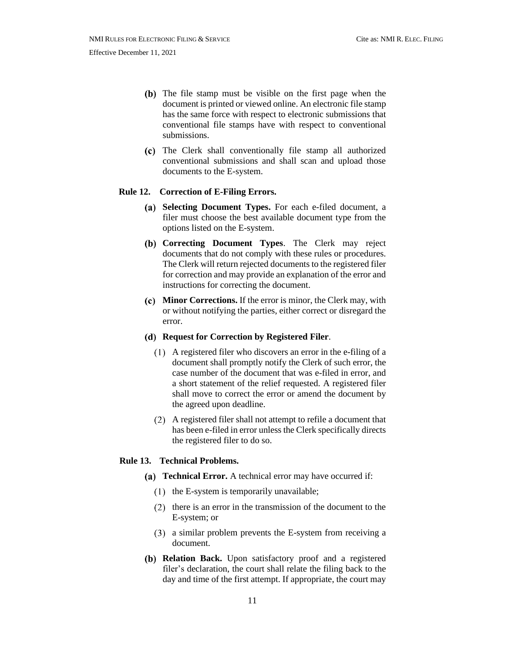- (b) The file stamp must be visible on the first page when the document is printed or viewed online. An electronic file stamp has the same force with respect to electronic submissions that conventional file stamps have with respect to conventional submissions.
- The Clerk shall conventionally file stamp all authorized conventional submissions and shall scan and upload those documents to the E-system.

#### <span id="page-11-1"></span><span id="page-11-0"></span>**Rule 12. Correction of E-Filing Errors.**

- **Selecting Document Types.** For each e-filed document, a filer must choose the best available document type from the options listed on the E-system.
- <span id="page-11-2"></span>**Correcting Document Types**. The Clerk may reject documents that do not comply with these rules or procedures. The Clerk will return rejected documents to the registered filer for correction and may provide an explanation of the error and instructions for correcting the document.
- <span id="page-11-3"></span>**Minor Corrections.** If the error is minor, the Clerk may, with or without notifying the parties, either correct or disregard the error.
- <span id="page-11-4"></span>**Request for Correction by Registered Filer**.
	- A registered filer who discovers an error in the e-filing of a document shall promptly notify the Clerk of such error, the case number of the document that was e-filed in error, and a short statement of the relief requested. A registered filer shall move to correct the error or amend the document by the agreed upon deadline.
	- A registered filer shall not attempt to refile a document that has been e-filed in error unless the Clerk specifically directs the registered filer to do so.

#### <span id="page-11-6"></span><span id="page-11-5"></span>**Rule 13. Technical Problems.**

- **Technical Error.** A technical error may have occurred if:
	- $(1)$  the E-system is temporarily unavailable;
	- $(2)$  there is an error in the transmission of the document to the E-system; or
	- a similar problem prevents the E-system from receiving a document.
- <span id="page-11-7"></span>**Relation Back.** Upon satisfactory proof and a registered filer's declaration, the court shall relate the filing back to the day and time of the first attempt. If appropriate, the court may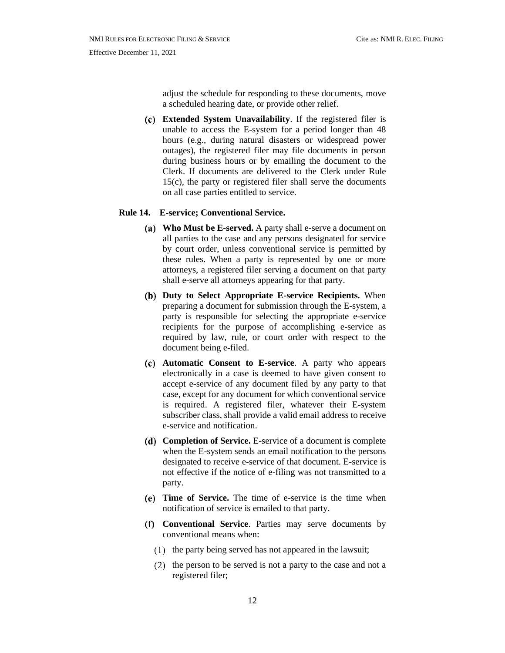adjust the schedule for responding to these documents, move a scheduled hearing date, or provide other relief.

<span id="page-12-0"></span>**Extended System Unavailability**. If the registered filer is unable to access the E-system for a period longer than 48 hours (e.g., during natural disasters or widespread power outages), the registered filer may file documents in person during business hours or by emailing the document to the Clerk. If documents are delivered to the Clerk under Rule 15(c), the party or registered filer shall serve the documents on all case parties entitled to service.

#### <span id="page-12-2"></span><span id="page-12-1"></span>**Rule 14. E-service; Conventional Service.**

- **Who Must be E-served.** A party shall e-serve a document on all parties to the case and any persons designated for service by court order, unless conventional service is permitted by these rules. When a party is represented by one or more attorneys, a registered filer serving a document on that party shall e-serve all attorneys appearing for that party.
- <span id="page-12-3"></span>**Duty to Select Appropriate E-service Recipients.** When preparing a document for submission through the E-system, a party is responsible for selecting the appropriate e-service recipients for the purpose of accomplishing e-service as required by law, rule, or court order with respect to the document being e-filed.
- <span id="page-12-4"></span>**Automatic Consent to E-service**. A party who appears electronically in a case is deemed to have given consent to accept e-service of any document filed by any party to that case, except for any document for which conventional service is required. A registered filer, whatever their E-system subscriber class, shall provide a valid email address to receive e-service and notification.
- <span id="page-12-5"></span>**Completion of Service.** E-service of a document is complete when the E-system sends an email notification to the persons designated to receive e-service of that document. E-service is not effective if the notice of e-filing was not transmitted to a party.
- <span id="page-12-6"></span>**Time of Service.** The time of e-service is the time when notification of service is emailed to that party.
- <span id="page-12-7"></span>**Conventional Service**. Parties may serve documents by conventional means when:
	- $t(1)$  the party being served has not appeared in the lawsuit;
	- $(2)$  the person to be served is not a party to the case and not a registered filer;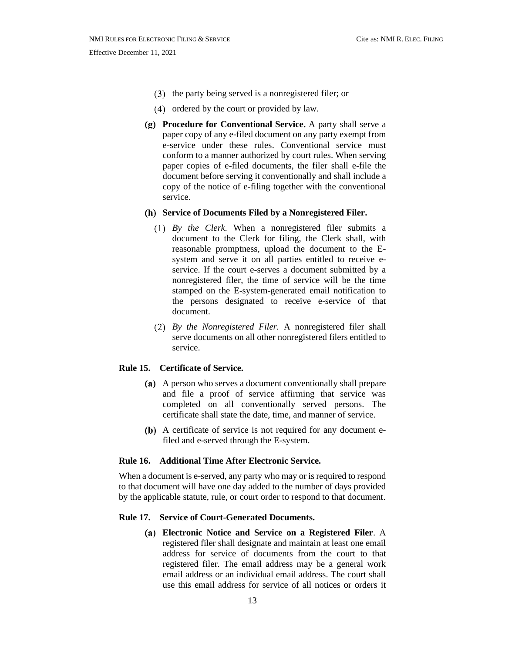- $(3)$  the party being served is a nonregistered filer; or
- (4) ordered by the court or provided by law.
- <span id="page-13-0"></span>**Procedure for Conventional Service.** A party shall serve a paper copy of any e-filed document on any party exempt from e-service under these rules. Conventional service must conform to a manner authorized by court rules. When serving paper copies of e-filed documents, the filer shall e-file the document before serving it conventionally and shall include a copy of the notice of e-filing together with the conventional service.
- <span id="page-13-1"></span>**Service of Documents Filed by a Nonregistered Filer.**
	- *By the Clerk.* When a nonregistered filer submits a document to the Clerk for filing, the Clerk shall, with reasonable promptness, upload the document to the Esystem and serve it on all parties entitled to receive eservice. If the court e-serves a document submitted by a nonregistered filer, the time of service will be the time stamped on the E-system-generated email notification to the persons designated to receive e-service of that document.
	- *By the Nonregistered Filer.* A nonregistered filer shall serve documents on all other nonregistered filers entitled to service.

#### <span id="page-13-2"></span>**Rule 15. Certificate of Service.**

- A person who serves a document conventionally shall prepare and file a proof of service affirming that service was completed on all conventionally served persons. The certificate shall state the date, time, and manner of service.
- (b) A certificate of service is not required for any document efiled and e-served through the E-system.

#### <span id="page-13-3"></span>**Rule 16. Additional Time After Electronic Service.**

When a document is e-served, any party who may or is required to respond to that document will have one day added to the number of days provided by the applicable statute, rule, or court order to respond to that document.

#### <span id="page-13-5"></span><span id="page-13-4"></span>**Rule 17. Service of Court-Generated Documents.**

**Electronic Notice and Service on a Registered Filer**. A registered filer shall designate and maintain at least one email address for service of documents from the court to that registered filer. The email address may be a general work email address or an individual email address. The court shall use this email address for service of all notices or orders it